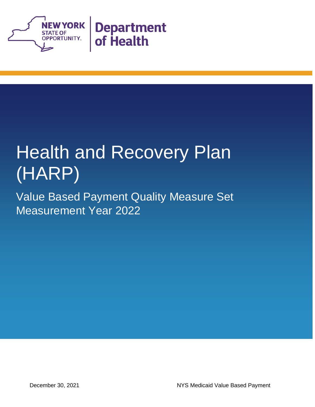

# Health and Recovery Plan (HARP)

Value Based Payment Quality Measure Set Measurement Year 2022

December 30, 2021 NYS Medicaid Value Based Payment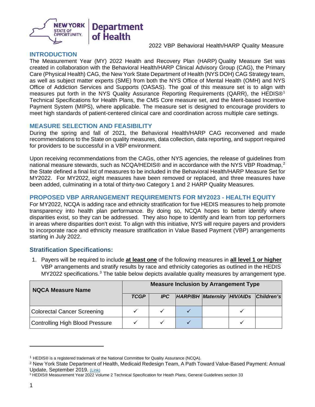

#### **INTRODUCTION**

The Measurement Year (MY) 2022 Health and Recovery Plan (HARP) Quality Measure Set was created in collaboration with the Behavioral Health/HARP Clinical Advisory Group (CAG), the Primary Care (Physical Health) CAG, the New York State Department of Health (NYS DOH) CAG Strategy team, as well as subject matter experts (SME) from both the NYS Office of Mental Health (OMH) and NYS Office of Addiction Services and Supports (OASAS). The goal of this measure set is to align with measures put forth in the NYS Quality Assurance Reporting Requirements (QARR), the HEDIS®<sup>[1](#page-2-0)</sup> Technical Specifications for Health Plans, the CMS Core measure set, and the Merit-based Incentive Payment System (MIPS), where applicable. The measure set is designed to encourage providers to meet high standards of patient-centered clinical care and coordination across multiple care settings.

#### **MEASURE SELECTION AND FEASIBILITY**

During the spring and fall of 2021, the Behavioral Health/HARP CAG reconvened and made recommendations to the State on quality measures, data collection, data reporting, and support required for providers to be successful in a VBP environment.

Upon receiving recommendations from the CAGs, other NYS agencies, the release of guidelines from national measure stewards, such as NCQA/HEDIS® and in accordance with the NYS VBP Roadmap,<sup>[2](#page-2-1)</sup> the State defined a final list of measures to be included in the Behavioral Health/HARP Measure Set for MY2022. For MY2022, eight measures have been removed or replaced, and three measures have been added, culminating in a total of thirty-two Category 1 and 2 HARP Quality Measures.

#### **PROPOSED VBP ARRANGEMENT REQUIREMENTS FOR MY2023 - HEALTH EQUITY**

For MY2022, NCQA is adding race and ethnicity stratification for five HEDIS measures to help promote transparency into health plan performance. By doing so, NCQA hopes to better identify where disparities exist, so they can be addressed. They also hope to identify and learn from top performers in areas where disparities don't exist. To align with this initiative, NYS will require payers and providers to incorporate race and ethnicity measure stratification in Value Based Payment (VBP) arrangements starting in July 2022.

### **Stratification Specifications:**

1. Payers will be required to include **at least one** of the following measures in **all level 1 or higher** VBP arrangements and stratify results by race and ethnicity categories as outlined in the HEDIS MY2022 specifications.<sup>[3](#page-2-2)</sup> The table below depicts available quality measures by arrangement type.

| <b>NQCA Measure Name</b>        | <b>Measure Inclusion by Arrangement Type</b> |      |                            |  |  |            |
|---------------------------------|----------------------------------------------|------|----------------------------|--|--|------------|
|                                 | <b>TCGP</b>                                  | IPC. | HARP/BH Maternity HIV/AIDs |  |  | Children's |
| Colorectal Cancer Screening     |                                              |      |                            |  |  |            |
| Controlling High Blood Pressure |                                              |      |                            |  |  |            |

<span id="page-2-0"></span><sup>&</sup>lt;sup>1</sup> HEDIS<sup>®</sup> is a registered trademark of the National Committee for Quality Assurance (NCQA).

<span id="page-2-1"></span><sup>2</sup> New York State Department of Health, Medicaid Redesign Team, A Path Toward Value-Based Payment: Annual Update, September 2019. [\(Link\)](https://www.health.ny.gov/health_care/medicaid/redesign/dsrip/vbp_library/2020/docs/2019-09_final_vbp_roadmap.pdf)

<span id="page-2-2"></span><sup>3</sup> HEDIS® Measurement Year 2022 Volume 2 Technical Specification for Heath Plans, General Guidelines section 33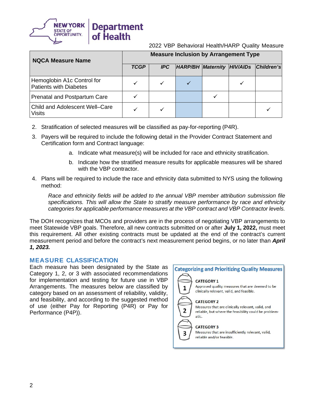

| <b>NQCA Measure Name</b>                                    | <b>Measure Inclusion by Arrangement Type</b> |            |                                   |  |  |            |
|-------------------------------------------------------------|----------------------------------------------|------------|-----------------------------------|--|--|------------|
|                                                             | <b>TCGP</b>                                  | <b>IPC</b> | <b>HARP/BH Maternity HIV/AIDs</b> |  |  | Children's |
| Hemoglobin A1c Control for<br><b>Patients with Diabetes</b> |                                              |            |                                   |  |  |            |
| <b>Prenatal and Postpartum Care</b>                         |                                              |            |                                   |  |  |            |
| <b>Child and Adolescent Well-Care</b><br><b>Visits</b>      |                                              |            |                                   |  |  |            |

- 2. Stratification of selected measures will be classified as pay-for-reporting (P4R).
- 3. Payers will be required to include the following detail in the Provider Contract Statement and Certification form and Contract language:
	- a. Indicate what measure(s) will be included for race and ethnicity stratification.
	- b. Indicate how the stratified measure results for applicable measures will be shared with the VBP contractor.
- 4. Plans will be required to include the race and ethnicity data submitted to NYS using the following method:

*Race and ethnicity fields will be added to the annual VBP member attribution submission file specifications. This will allow the State to stratify measure performance by race and ethnicity categories for applicable performance measures at the VBP contract and VBP Contractor levels.* 

The DOH recognizes that MCOs and providers are in the process of negotiating VBP arrangements to meet Statewide VBP goals. Therefore, all new contracts submitted on or after **July 1, 2022,** must meet this requirement. All other existing contracts must be updated at the end of the contract's current measurement period and before the contract's next measurement period begins, or no later than *April 1, 2023.*

### **MEASURE CLASSIFICATION**

Each measure has been designated by the State as Category 1, 2, or 3 with associated recommendations for implementation and testing for future use in VBP Arrangements. The measures below are classified by category based on an assessment of reliability, validity, and feasibility, and according to the suggested method of use (either Pay for Reporting (P4R) or Pay for Performance (P4P)).

#### **Categorizing and Prioritizing Quality Measures**

#### **CATEGORY 1**

 $\mathbf{1}$ 

Approved quality measures that are deemed to be clinically relevant, valid, and feasible.

#### **CATEGORY 2**

Measures that are clinically relevant, valid, and reliable, but where the feasibility could be problematic.

#### **CATEGORY 3**

Measures that are insufficiently relevant, valid, reliable and/or feasible.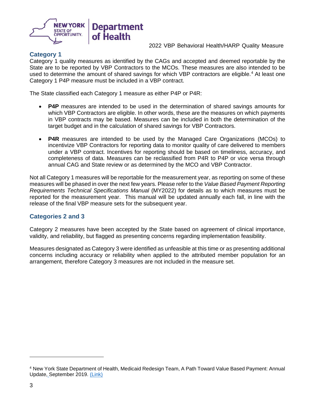

### **Category 1**

Category 1 quality measures as identified by the CAGs and accepted and deemed reportable by the State are to be reported by VBP Contractors to the MCOs. These measures are also intended to be used to determine the amount of shared savings for which VBP contractors are eligible. [4](#page-4-0) At least one Category 1 P4P measure must be included in a VBP contract.

The State classified each Category 1 measure as either P4P or P4R:

- **P4P** measures are intended to be used in the determination of shared savings amounts for which VBP Contractors are eligible. In other words, these are the measures on which payments in VBP contracts may be based. Measures can be included in both the determination of the target budget and in the calculation of shared savings for VBP Contractors.
- **P4R** measures are intended to be used by the Managed Care Organizations (MCOs) to incentivize VBP Contractors for reporting data to monitor quality of care delivered to members under a VBP contract. Incentives for reporting should be based on timeliness, accuracy, and completeness of data. Measures can be reclassified from P4R to P4P or vice versa through annual CAG and State review or as determined by the MCO and VBP Contractor.

Not all Category 1 measures will be reportable for the measurement year, as reporting on some of these measures will be phased in over the next few years. Please refer to the *Value Based Payment Reporting Requirements Technical Specifications Manual* (MY2022) for details as to which measures must be reported for the measurement year. This manual will be updated annually each fall, in line with the release of the final VBP measure sets for the subsequent year.

#### **Categories 2 and 3**

Category 2 measures have been accepted by the State based on agreement of clinical importance, validity, and reliability, but flagged as presenting concerns regarding implementation feasibility.

Measures designated as Category 3 were identified as unfeasible at this time or as presenting additional concerns including accuracy or reliability when applied to the attributed member population for an arrangement, therefore Category 3 measures are not included in the measure set.

<span id="page-4-0"></span><sup>4</sup> New York State Department of Health, Medicaid Redesign Team, A Path Toward Value Based Payment: Annual Update, September 2019. [\(Link\)](https://www.health.ny.gov/health_care/medicaid/redesign/dsrip/vbp_library/2020/docs/2019-09_final_vbp_roadmap.pdf)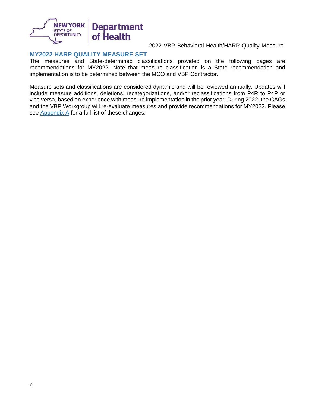

### **MY2022 HARP QUALITY MEASURE SET**

The measures and State-determined classifications provided on the following pages are recommendations for MY2022. Note that measure classification is a State recommendation and implementation is to be determined between the MCO and VBP Contractor.

Measure sets and classifications are considered dynamic and will be reviewed annually. Updates will include measure additions, deletions, recategorizations, and/or reclassifications from P4R to P4P or vice versa, based on experience with measure implementation in the prior year. During 2022, the CAGs and the VBP Workgroup will re-evaluate measures and provide recommendations for MY2022. Please see  $\Delta$ ppendix  $\Delta$  for a full list of these changes.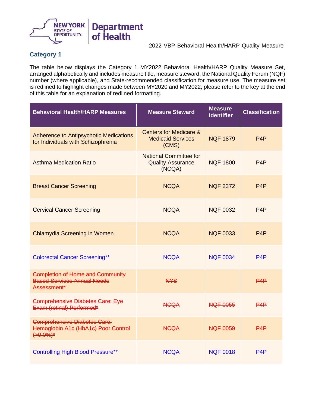

# **Category 1**

5

The table below displays the Category 1 MY2022 Behavioral Health/HARP Quality Measure Set, arranged alphabetically and includes measure title, measure steward, the National Quality Forum (NQF) number (where applicable), and State-recommended classification for measure use. The measure set is redlined to highlight changes made between MY2020 and MY2022; please refer to the key at the end of this table for an explanation of redlined formatting.

| <b>Behavioral Health/HARP Measures</b>                                                       | <b>Measure Steward</b>                                                 | <b>Measure</b><br><b>Identifier</b> | <b>Classification</b> |
|----------------------------------------------------------------------------------------------|------------------------------------------------------------------------|-------------------------------------|-----------------------|
| <b>Adherence to Antipsychotic Medications</b><br>for Individuals with Schizophrenia          | <b>Centers for Medicare &amp;</b><br><b>Medicaid Services</b><br>(CMS) | <b>NOF 1879</b>                     | P <sub>4</sub> P      |
| <b>Asthma Medication Ratio</b>                                                               | <b>National Committee for</b><br><b>Quality Assurance</b><br>(NCQA)    | <b>NQF 1800</b>                     | P <sub>4</sub> P      |
| <b>Breast Cancer Screening</b>                                                               | <b>NCQA</b>                                                            | <b>NQF 2372</b>                     | P <sub>4</sub> P      |
| <b>Cervical Cancer Screening</b>                                                             | <b>NCQA</b>                                                            | <b>NQF 0032</b>                     | P4P                   |
| <b>Chlamydia Screening in Women</b>                                                          | <b>NCQA</b>                                                            | <b>NQF 0033</b>                     | P4P                   |
| <b>Colorectal Cancer Screening**</b>                                                         | <b>NCQA</b>                                                            | <b>NQF 0034</b>                     | P <sub>4</sub> P      |
| <b>Completion of Home and Community</b><br><b>Based Services Annual Needs</b><br>Assessment* | <b>NYS</b>                                                             |                                     | P4P                   |
| <b>Comprehensive Diabetes Care: Eye</b><br>Exam (retinal) Performed*                         | <b>NGQA</b>                                                            | <b>NQF 0055</b>                     | P4P                   |
| <b>Comprehensive Diabetes Care:</b><br>Hemoglobin A1c (HbA1c) Poor Control<br>$(+9.0\%)^*$   | <b>NGQA</b>                                                            | <b>NQF 0059</b>                     | PAP                   |
| <b>Controlling High Blood Pressure**</b>                                                     | <b>NCQA</b>                                                            | <b>NQF 0018</b>                     | P <sub>4</sub> P      |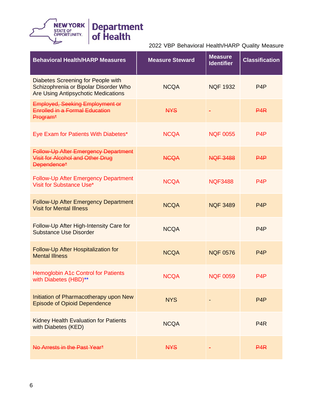

| <b>Behavioral Health/HARP Measures</b>                                                                                    | <b>Measure Steward</b> | <b>Measure</b><br><b>Identifier</b> | <b>Classification</b> |
|---------------------------------------------------------------------------------------------------------------------------|------------------------|-------------------------------------|-----------------------|
| Diabetes Screening for People with<br>Schizophrenia or Bipolar Disorder Who<br><b>Are Using Antipsychotic Medications</b> | <b>NCQA</b>            | <b>NQF 1932</b>                     | P <sub>4</sub> P      |
| <b>Employed, Seeking Employment or</b><br><b>Enrolled in a Formal Education</b><br>Program*                               | <b>NYS</b>             |                                     | P4R                   |
| Eye Exam for Patients With Diabetes*                                                                                      | <b>NCQA</b>            | <b>NQF 0055</b>                     | P <sub>4</sub> P      |
| <b>Follow-Up After Emergency Department</b><br>Visit for Alcohol and Other Drug<br>Dependence*                            | <b>NCQA</b>            | <b>NQF 3488</b>                     | PAP                   |
| <b>Follow-Up After Emergency Department</b><br>Visit for Substance Use*                                                   | <b>NCQA</b>            | <b>NQF3488</b>                      | P <sub>4</sub> P      |
| Follow-Up After Emergency Department<br><b>Visit for Mental Illness</b>                                                   | <b>NCQA</b>            | <b>NQF 3489</b>                     | P <sub>4</sub> P      |
| Follow-Up After High-Intensity Care for<br><b>Substance Use Disorder</b>                                                  | <b>NCQA</b>            |                                     | P <sub>4</sub> P      |
| Follow-Up After Hospitalization for<br><b>Mental Illness</b>                                                              | <b>NCQA</b>            | <b>NQF 0576</b>                     | P <sub>4</sub> P      |
| <b>Hemoglobin A1c Control for Patients</b><br>with Diabetes (HBD)**                                                       | <b>NCQA</b>            | <b>NQF 0059</b>                     | P <sub>4</sub> P      |
| Initiation of Pharmacotherapy upon New<br><b>Episode of Opioid Dependence</b>                                             | <b>NYS</b>             |                                     | P <sub>4</sub> P      |
| <b>Kidney Health Evaluation for Patients</b><br>with Diabetes (KED)                                                       | <b>NCQA</b>            |                                     | P <sub>4</sub> R      |
| No Arrests in the Past Year*                                                                                              | <b>NYS</b>             |                                     | P <sub>4</sub> R      |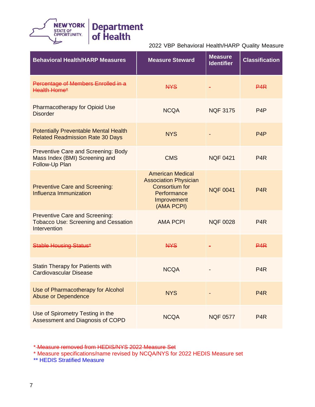

| <b>Behavioral Health/HARP Measures</b>                                                               | <b>Measure Steward</b>                                                                                                       | <b>Measure</b><br><b>Identifier</b> | <b>Classification</b> |
|------------------------------------------------------------------------------------------------------|------------------------------------------------------------------------------------------------------------------------------|-------------------------------------|-----------------------|
| Percentage of Members Enrolled in a<br><b>Health Home*</b>                                           | <b>NYS</b>                                                                                                                   |                                     | <b>P4R</b>            |
| <b>Pharmacotherapy for Opioid Use</b><br><b>Disorder</b>                                             | <b>NCQA</b>                                                                                                                  | <b>NQF 3175</b>                     | P <sub>4</sub> P      |
| <b>Potentially Preventable Mental Health</b><br><b>Related Readmission Rate 30 Days</b>              | <b>NYS</b>                                                                                                                   |                                     | P <sub>4</sub> P      |
| <b>Preventive Care and Screening: Body</b><br>Mass Index (BMI) Screening and<br>Follow-Up Plan       | <b>CMS</b>                                                                                                                   | <b>NQF 0421</b>                     | P <sub>4</sub> R      |
| <b>Preventive Care and Screening:</b><br>Influenza Immunization                                      | <b>American Medical</b><br><b>Association Physician</b><br><b>Consortium for</b><br>Performance<br>Improvement<br>(AMA PCPI) | <b>NQF 0041</b>                     | P <sub>4</sub> R      |
| <b>Preventive Care and Screening:</b><br><b>Tobacco Use: Screening and Cessation</b><br>Intervention | <b>AMA PCPI</b>                                                                                                              | <b>NQF 0028</b>                     | P <sub>4</sub> R      |
| <b>Stable Housing Status*</b>                                                                        | <b>NYS</b>                                                                                                                   |                                     | P4R                   |
| <b>Statin Therapy for Patients with</b><br><b>Cardiovascular Disease</b>                             | <b>NCQA</b>                                                                                                                  |                                     | P <sub>4</sub> R      |
| Use of Pharmacotherapy for Alcohol<br><b>Abuse or Dependence</b>                                     | <b>NYS</b>                                                                                                                   |                                     | P <sub>4</sub> R      |
| Use of Spirometry Testing in the<br>Assessment and Diagnosis of COPD                                 | <b>NCQA</b>                                                                                                                  | <b>NQF 0577</b>                     | P <sub>4</sub> R      |

\* Measure removed from HEDIS/NYS 2022 Measure Set

\* Measure specifications/name revised by NCQA/NYS for 2022 HEDIS Measure set

\*\* HEDIS Stratified Measure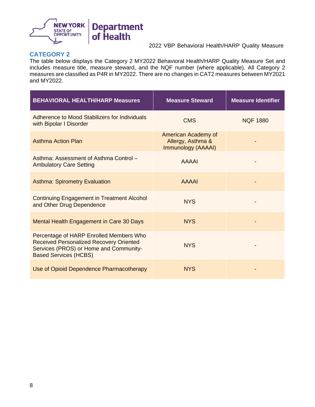

# **CATEGORY 2**

The table below displays the Category 2 MY2022 Behavioral Health/HARP Quality Measure Set and includes measure title, measure steward, and the NQF number (where applicable). All Category 2 measures are classified as P4R in MY2022. There are no changes in CAT2 measures between MY2021 and MY2022.

| <b>BEHAVIORAL HEALTH/HARP Measures</b>                                                                                                                              | <b>Measure Steward</b>                                         | <b>Measure Identifier</b> |
|---------------------------------------------------------------------------------------------------------------------------------------------------------------------|----------------------------------------------------------------|---------------------------|
| Adherence to Mood Stabilizers for Individuals<br>with Bipolar I Disorder                                                                                            | <b>CMS</b>                                                     | <b>NQF 1880</b>           |
| <b>Asthma Action Plan</b>                                                                                                                                           | American Academy of<br>Allergy, Asthma &<br>Immunology (AAAAI) |                           |
| Asthma: Assessment of Asthma Control -<br><b>Ambulatory Care Setting</b>                                                                                            | <b>AAAAI</b>                                                   |                           |
| <b>Asthma: Spirometry Evaluation</b>                                                                                                                                | <b>AAAAI</b>                                                   |                           |
| <b>Continuing Engagement in Treatment Alcohol</b><br>and Other Drug Dependence                                                                                      | <b>NYS</b>                                                     |                           |
| Mental Health Engagement in Care 30 Days                                                                                                                            | <b>NYS</b>                                                     |                           |
| Percentage of HARP Enrolled Members Who<br><b>Received Personalized Recovery Oriented</b><br>Services (PROS) or Home and Community-<br><b>Based Services (HCBS)</b> | <b>NYS</b>                                                     |                           |
| Use of Opioid Dependence Pharmacotherapy                                                                                                                            | <b>NYS</b>                                                     |                           |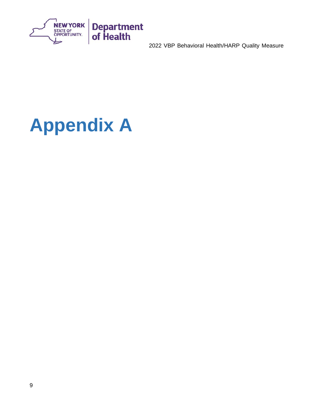

# <span id="page-10-0"></span>**Appendix A**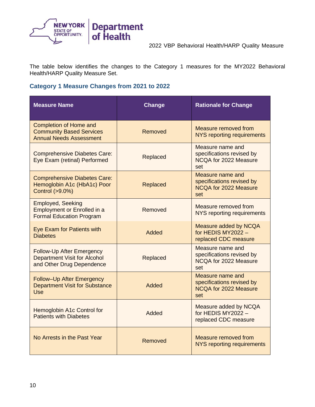

The table below identifies the changes to the Category 1 measures for the MY2022 Behavioral Health/HARP Quality Measure Set.

## **Category 1 Measure Changes from 2021 to 2022**

| <b>Measure Name</b>                                                                                  | <b>Change</b>   | <b>Rationale for Change</b>                                                                 |
|------------------------------------------------------------------------------------------------------|-----------------|---------------------------------------------------------------------------------------------|
| <b>Completion of Home and</b><br><b>Community Based Services</b><br><b>Annual Needs Assessment</b>   | Removed         | <b>Measure removed from</b><br><b>NYS reporting requirements</b>                            |
| <b>Comprehensive Diabetes Care:</b><br>Eye Exam (retinal) Performed                                  | Replaced        | Measure name and<br>specifications revised by<br>NCQA for 2022 Measure<br>set               |
| <b>Comprehensive Diabetes Care:</b><br>Hemoglobin A1c (HbA1c) Poor<br>Control (>9.0%)                | <b>Replaced</b> | <b>Measure name and</b><br>specifications revised by<br><b>NCQA for 2022 Measure</b><br>set |
| <b>Employed, Seeking</b><br><b>Employment or Enrolled in a</b><br><b>Formal Education Program</b>    | Removed         | Measure removed from<br>NYS reporting requirements                                          |
| Eye Exam for Patients with<br><b>Diabetes</b>                                                        | Added           | Measure added by NCQA<br>for HEDIS MY2022 -<br>replaced CDC measure                         |
| <b>Follow-Up After Emergency</b><br><b>Department Visit for Alcohol</b><br>and Other Drug Dependence | Replaced        | Measure name and<br>specifications revised by<br>NCQA for 2022 Measure<br>set               |
| Follow-Up After Emergency<br><b>Department Visit for Substance</b><br><b>Use</b>                     | Added           | <b>Measure name and</b><br>specifications revised by<br><b>NCQA for 2022 Measure</b><br>set |
| Hemoglobin A1c Control for<br><b>Patients with Diabetes</b>                                          | Added           | Measure added by NCQA<br>for HEDIS MY2022-<br>replaced CDC measure                          |
| No Arrests in the Past Year                                                                          | Removed         | Measure removed from<br>NYS reporting requirements                                          |